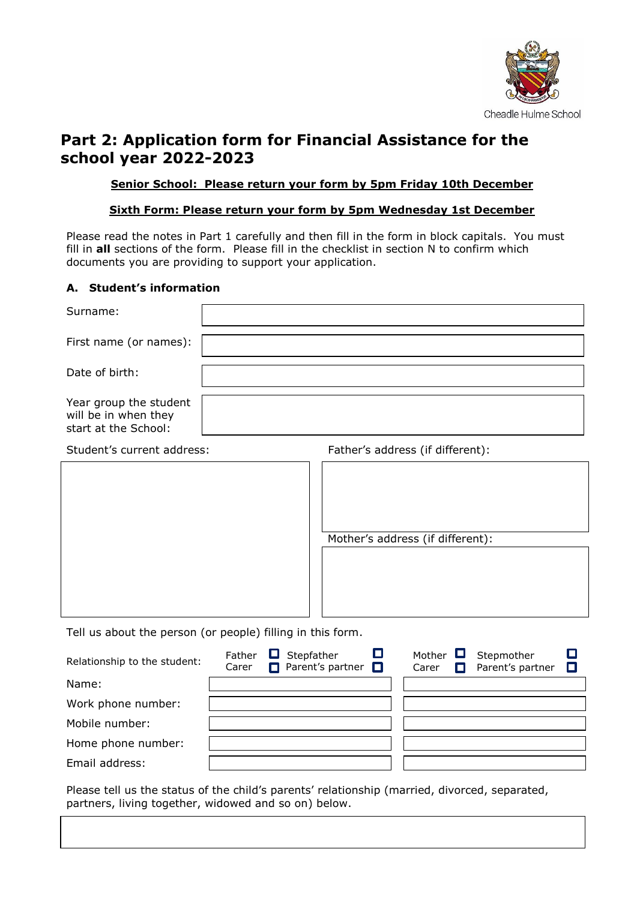

# **Part 2: Application form for Financial Assistance for the school year 2022-2023**

#### **Senior School: Please return your form by 5pm Friday 10th December**

#### **Sixth Form: Please return your form by 5pm Wednesday 1st December**

Please read the notes in Part 1 carefully and then fill in the form in block capitals. You must fill in **all** sections of the form. Please fill in the checklist in section N to confirm which documents you are providing to support your application.

#### **A. Student's information**

Email address:

| Surname:                                                               |                                                                                                                        |
|------------------------------------------------------------------------|------------------------------------------------------------------------------------------------------------------------|
| First name (or names):                                                 |                                                                                                                        |
| Date of birth:                                                         |                                                                                                                        |
| Year group the student<br>will be in when they<br>start at the School: |                                                                                                                        |
| Student's current address:                                             | Father's address (if different):                                                                                       |
|                                                                        | Mother's address (if different):                                                                                       |
| Tell us about the person (or people) filling in this form.             |                                                                                                                        |
| Father<br>Relationship to the student:<br>Carer                        | $\Box$<br>O<br>Stepfather<br>Mother<br>Stepmother<br>Parent's partner $\square$<br>Parent's partner<br>О<br>Carer<br>П |
| Name:                                                                  |                                                                                                                        |
| Work phone number:                                                     |                                                                                                                        |
| Mobile number:                                                         |                                                                                                                        |
| Home phone number:                                                     |                                                                                                                        |

Please tell us the status of the child's parents' relationship (married, divorced, separated, partners, living together, widowed and so on) below.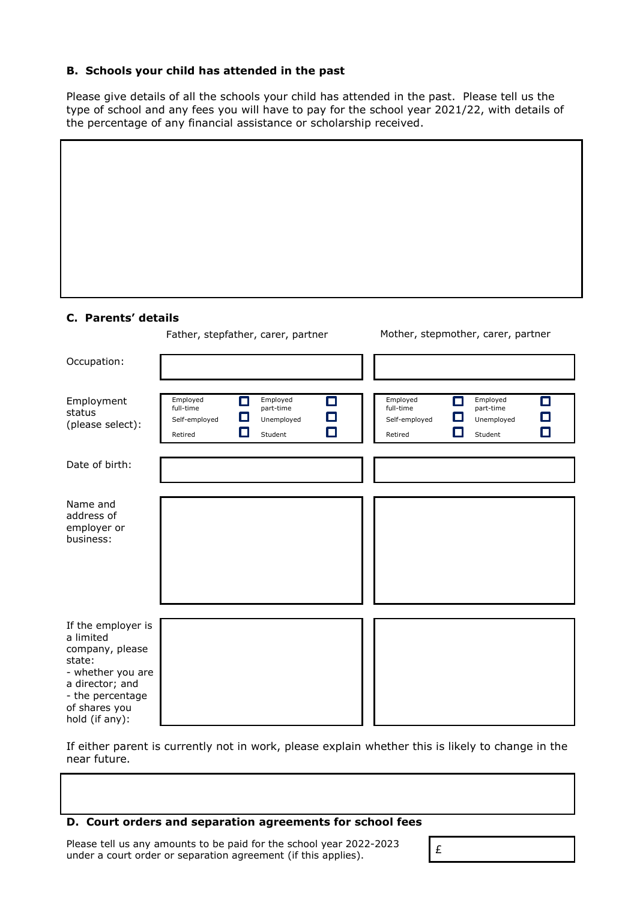#### **B. Schools your child has attended in the past**

Please give details of all the schools your child has attended in the past. Please tell us the type of school and any fees you will have to pay for the school year 2021/22, with details of the percentage of any financial assistance or scholarship received.

#### **C. Parents' details**

Father, stepfather, carer, partner Mother, stepmother, carer, partner

| Occupation:                                                                                                                                                 |                                                                       |                                                               |                                                   |                                                                    |
|-------------------------------------------------------------------------------------------------------------------------------------------------------------|-----------------------------------------------------------------------|---------------------------------------------------------------|---------------------------------------------------|--------------------------------------------------------------------|
| Employment<br>status<br>(please select):                                                                                                                    | Employed<br>П<br>full-time<br>ш<br>Self-employed<br>$\Box$<br>Retired | Employed<br>о<br>part-time<br>О<br>Unemployed<br>о<br>Student | Employed<br>full-time<br>Self-employed<br>Retired | Employed<br>П<br>П<br>part-time<br>О<br>Unemployed<br>О<br>Student |
| Date of birth:                                                                                                                                              |                                                                       |                                                               |                                                   |                                                                    |
| Name and<br>address of<br>employer or<br>business:                                                                                                          |                                                                       |                                                               |                                                   |                                                                    |
| If the employer is<br>a limited<br>company, please<br>state:<br>- whether you are<br>a director; and<br>- the percentage<br>of shares you<br>hold (if any): |                                                                       |                                                               |                                                   |                                                                    |

If either parent is currently not in work, please explain whether this is likely to change in the near future.

#### **D. Court orders and separation agreements for school fees**

Please tell us any amounts to be paid for the school year 2022-2023 Please tell us any amounts to be paid for the school year 2022-2023<br>under a court order or separation agreement (if this applies).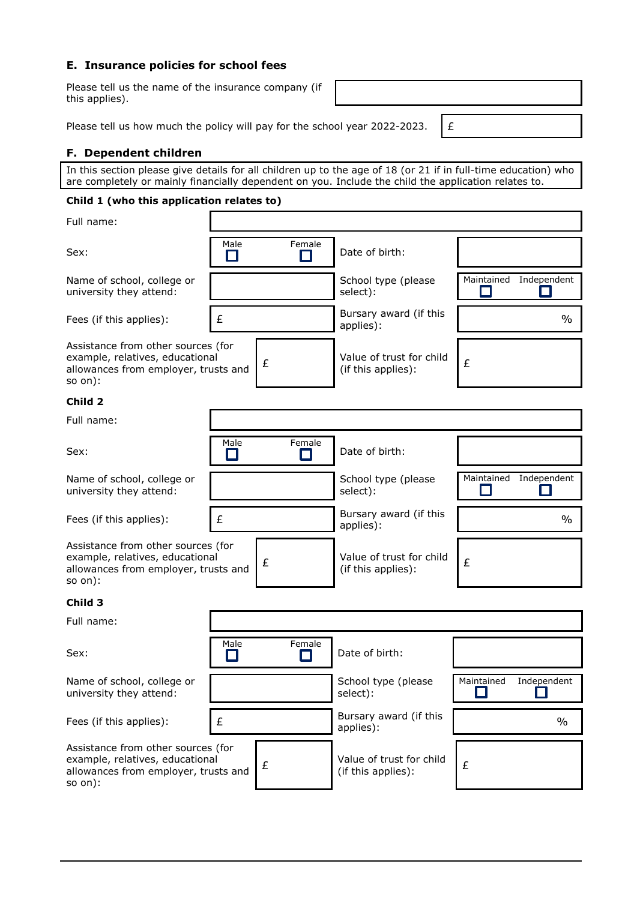#### **E. Insurance policies for school fees**

Please tell us the name of the insurance company (if this applies).

Please tell us how much the policy will pay for the school year 2022-2023.  $\left| \right|$  £

#### **F. Dependent children**

In this section please give details for all children up to the age of 18 (or 21 if in full-time education) who are completely or mainly financially dependent on you. Include the child the application relates to.

#### **Child 1 (who this application relates to)**

| Full name:                                                                                                                 |                                     |                                     |                                                |                           |
|----------------------------------------------------------------------------------------------------------------------------|-------------------------------------|-------------------------------------|------------------------------------------------|---------------------------|
| Sex:                                                                                                                       | Male<br>П                           | Female                              | Date of birth:                                 |                           |
| Name of school, college or<br>university they attend:                                                                      |                                     |                                     | School type (please<br>select):                | Maintained<br>Independent |
| Fees (if this applies):                                                                                                    | £                                   |                                     | Bursary award (if this<br>applies):            | $\frac{0}{0}$             |
| Assistance from other sources (for<br>example, relatives, educational<br>allowances from employer, trusts and<br>$so$ on): |                                     | £                                   | Value of trust for child<br>(if this applies): | £                         |
| Child 2                                                                                                                    |                                     |                                     |                                                |                           |
| Full name:                                                                                                                 |                                     |                                     |                                                |                           |
| Sex:                                                                                                                       | Male<br>×.                          | Female                              | Date of birth:                                 |                           |
| Name of school, college or<br>university they attend:                                                                      |                                     |                                     | School type (please<br>select):                | Independent<br>Maintained |
| Fees (if this applies):                                                                                                    | £                                   |                                     | Bursary award (if this<br>applies):            | $\%$                      |
| Assistance from other sources (for<br>example, relatives, educational<br>allowances from employer, trusts and<br>so on):   |                                     | £                                   | Value of trust for child<br>(if this applies): | £                         |
| Child 3                                                                                                                    |                                     |                                     |                                                |                           |
| Full name:                                                                                                                 |                                     |                                     |                                                |                           |
| Sex:                                                                                                                       | Male<br>$\mathcal{L}_{\mathcal{A}}$ | Female<br>$\mathbb{Z}^{\mathbb{Z}}$ | Date of birth:                                 |                           |
| Name of school, college or<br>university they attend:                                                                      |                                     |                                     | School type (please<br>select):                | Maintained<br>Independent |
| Fees (if this applies):                                                                                                    | £                                   |                                     | Bursary award (if this<br>applies):            | $\%$                      |
| Assistance from other sources (for<br>example, relatives, educational<br>allowances from employer, trusts and<br>$so$ on): |                                     | £                                   | Value of trust for child<br>(if this applies): | £                         |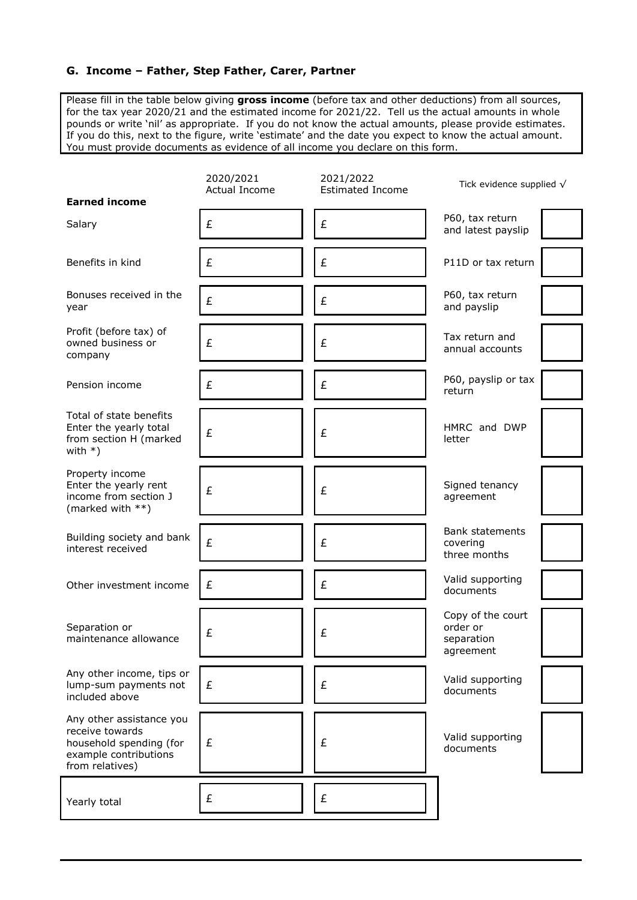#### **G. Income – Father, Step Father, Carer, Partner**

Please fill in the table below giving **gross income** (before tax and other deductions) from all sources, for the tax year 2020/21 and the estimated income for 2021/22. Tell us the actual amounts in whole pounds or write 'nil' as appropriate. If you do not know the actual amounts, please provide estimates. If you do this, next to the figure, write 'estimate' and the date you expect to know the actual amount. You must provide documents as evidence of all income you declare on this form.

| <b>Earned income</b>                                                                                               | 2020/2021<br>Actual Income | 2021/2022<br><b>Estimated Income</b> | Tick evidence supplied $\sqrt{}$                         |
|--------------------------------------------------------------------------------------------------------------------|----------------------------|--------------------------------------|----------------------------------------------------------|
| Salary                                                                                                             | £                          | £                                    | P60, tax return<br>and latest payslip                    |
| Benefits in kind                                                                                                   | £                          | £                                    | P11D or tax return                                       |
| Bonuses received in the<br>year                                                                                    | £                          | £                                    | P60, tax return<br>and payslip                           |
| Profit (before tax) of<br>owned business or<br>company                                                             | £                          | £                                    | Tax return and<br>annual accounts                        |
| Pension income                                                                                                     | £                          | £                                    | P60, payslip or tax<br>return                            |
| Total of state benefits<br>Enter the yearly total<br>from section H (marked<br>with $*)$                           | £                          | £                                    | HMRC and DWP<br>letter                                   |
| Property income<br>Enter the yearly rent<br>income from section J<br>(marked with **)                              | £                          | £                                    | Signed tenancy<br>agreement                              |
| Building society and bank<br>interest received                                                                     | £                          | £                                    | <b>Bank statements</b><br>covering<br>three months       |
| Other investment income                                                                                            | £                          | £                                    | Valid supporting<br>documents                            |
| Separation or<br>maintenance allowance                                                                             | £                          | £                                    | Copy of the court<br>order or<br>separation<br>agreement |
| Any other income, tips or<br>lump-sum payments not<br>included above                                               | £                          | £                                    | Valid supporting<br>documents                            |
| Any other assistance you<br>receive towards<br>household spending (for<br>example contributions<br>from relatives) | £                          | £                                    | Valid supporting<br>documents                            |
| Yearly total                                                                                                       | £                          | £                                    |                                                          |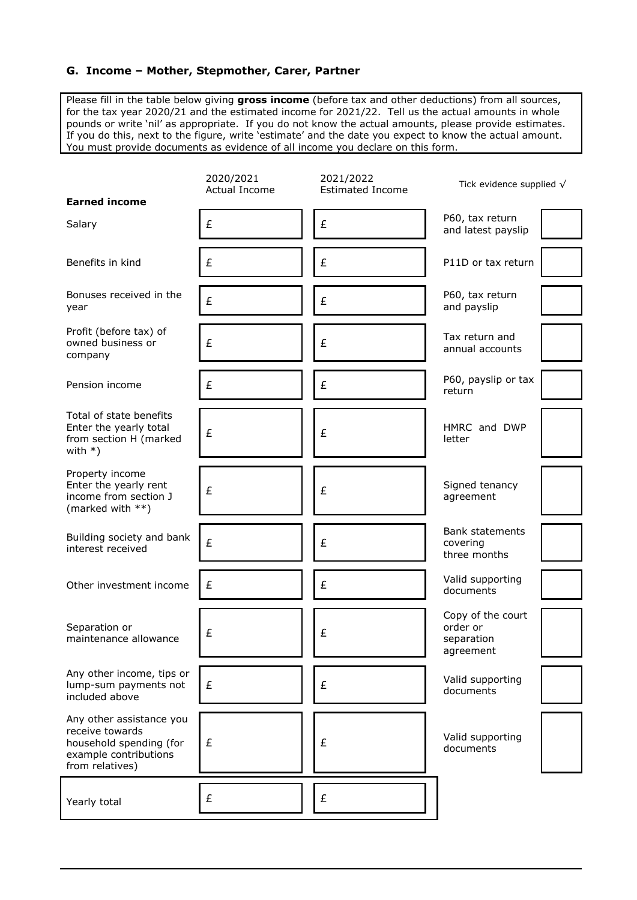#### **G. Income – Mother, Stepmother, Carer, Partner**

Please fill in the table below giving **gross income** (before tax and other deductions) from all sources, for the tax year 2020/21 and the estimated income for 2021/22. Tell us the actual amounts in whole pounds or write 'nil' as appropriate. If you do not know the actual amounts, please provide estimates. If you do this, next to the figure, write 'estimate' and the date you expect to know the actual amount. You must provide documents as evidence of all income you declare on this form.

| <b>Earned income</b>                                                                                               | 2020/2021<br>Actual Income | 2021/2022<br><b>Estimated Income</b> | Tick evidence supplied $\sqrt{}$                         |
|--------------------------------------------------------------------------------------------------------------------|----------------------------|--------------------------------------|----------------------------------------------------------|
| Salary                                                                                                             | £                          | £                                    | P60, tax return<br>and latest payslip                    |
| Benefits in kind                                                                                                   | £                          | £                                    | P11D or tax return                                       |
| Bonuses received in the<br>year                                                                                    | £                          | £                                    | P60, tax return<br>and payslip                           |
| Profit (before tax) of<br>owned business or<br>company                                                             | £                          | £                                    | Tax return and<br>annual accounts                        |
| Pension income                                                                                                     | £                          | £                                    | P60, payslip or tax<br>return                            |
| Total of state benefits<br>Enter the yearly total<br>from section H (marked<br>with $*)$                           | £                          | £                                    | HMRC and DWP<br>letter                                   |
| Property income<br>Enter the yearly rent<br>income from section J<br>(marked with **)                              | £                          | £                                    | Signed tenancy<br>agreement                              |
| Building society and bank<br>interest received                                                                     | £                          | £                                    | <b>Bank statements</b><br>covering<br>three months       |
| Other investment income                                                                                            | £                          | £                                    | Valid supporting<br>documents                            |
| Separation or<br>maintenance allowance                                                                             | £                          | £                                    | Copy of the court<br>order or<br>separation<br>agreement |
| Any other income, tips or<br>lump-sum payments not<br>included above                                               | £                          | £                                    | Valid supporting<br>documents                            |
| Any other assistance you<br>receive towards<br>household spending (for<br>example contributions<br>from relatives) | £                          | £                                    | Valid supporting<br>documents                            |
| Yearly total                                                                                                       | £                          | £                                    |                                                          |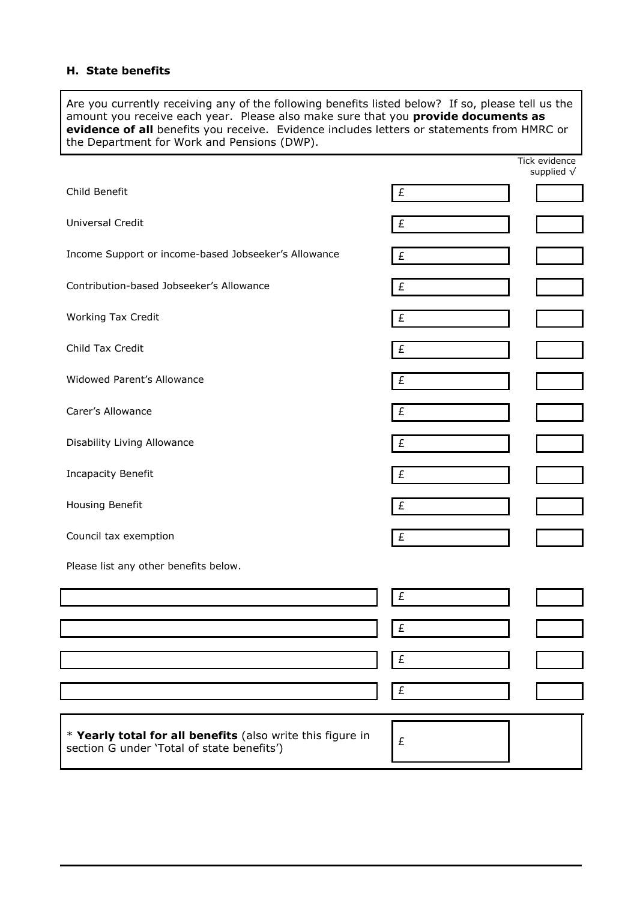#### **H. State benefits**

Are you currently receiving any of the following benefits listed below? If so, please tell us the amount you receive each year. Please also make sure that you **provide documents as evidence of all** benefits you receive. Evidence includes letters or statements from HMRC or the Department for Work and Pensions (DWP).

|                                                                                                          |           | Tick evidence<br>supplied $\sqrt{}$ |
|----------------------------------------------------------------------------------------------------------|-----------|-------------------------------------|
| Child Benefit                                                                                            | £         |                                     |
| Universal Credit                                                                                         | $\pounds$ |                                     |
| Income Support or income-based Jobseeker's Allowance                                                     | £         |                                     |
| Contribution-based Jobseeker's Allowance                                                                 | £         |                                     |
| Working Tax Credit                                                                                       | £         |                                     |
| Child Tax Credit                                                                                         | £         |                                     |
| Widowed Parent's Allowance                                                                               | £         |                                     |
| Carer's Allowance                                                                                        | £         |                                     |
| Disability Living Allowance                                                                              | £         |                                     |
| <b>Incapacity Benefit</b>                                                                                | £         |                                     |
| Housing Benefit                                                                                          | £         |                                     |
| Council tax exemption                                                                                    | £         |                                     |
| Please list any other benefits below.                                                                    |           |                                     |
|                                                                                                          | £         |                                     |
|                                                                                                          | £         |                                     |
|                                                                                                          | £         |                                     |
|                                                                                                          | £         |                                     |
|                                                                                                          |           |                                     |
| * Yearly total for all benefits (also write this figure in<br>section G under 'Total of state benefits') | £         |                                     |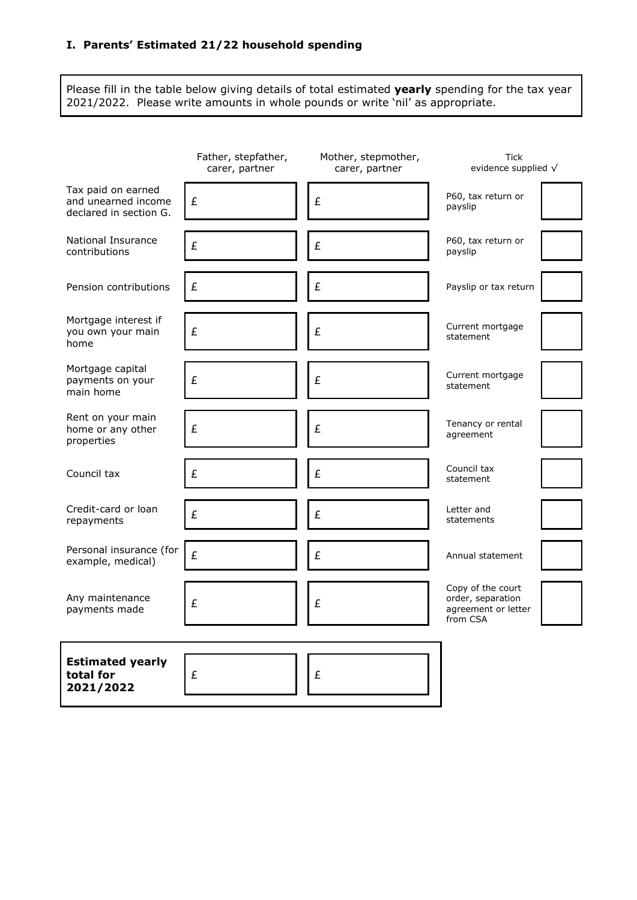## **I. Parents' Estimated 21/22 household spending**

Please fill in the table below giving details of total estimated **yearly** spending for the tax year 2021/2022. Please write amounts in whole pounds or write 'nil' as appropriate.

|                                                                     | Father, stepfather,<br>carer, partner | Mother, stepmother,<br>carer, partner | <b>Tick</b><br>evidence supplied $\sqrt{}$                                |
|---------------------------------------------------------------------|---------------------------------------|---------------------------------------|---------------------------------------------------------------------------|
| Tax paid on earned<br>and unearned income<br>declared in section G. | £                                     | £                                     | P60, tax return or<br>payslip                                             |
| National Insurance<br>contributions                                 | £                                     | £                                     | P60, tax return or<br>payslip                                             |
| Pension contributions                                               | £                                     | £                                     | Payslip or tax return                                                     |
| Mortgage interest if<br>you own your main<br>home                   | £                                     | £                                     | Current mortgage<br>statement                                             |
| Mortgage capital<br>payments on your<br>main home                   | £                                     | £                                     | Current mortgage<br>statement                                             |
| Rent on your main<br>home or any other<br>properties                | £                                     | £                                     | Tenancy or rental<br>agreement                                            |
| Council tax                                                         | £                                     | £                                     | Council tax<br>statement                                                  |
| Credit-card or loan<br>repayments                                   | £                                     | £                                     | Letter and<br>statements                                                  |
| Personal insurance (for<br>example, medical)                        | £                                     | £                                     | Annual statement                                                          |
| Any maintenance<br>payments made                                    | £                                     | £                                     | Copy of the court<br>order, separation<br>agreement or letter<br>from CSA |
| <b>Estimated yearly</b><br>total for<br>2021/2022                   | £                                     | £                                     |                                                                           |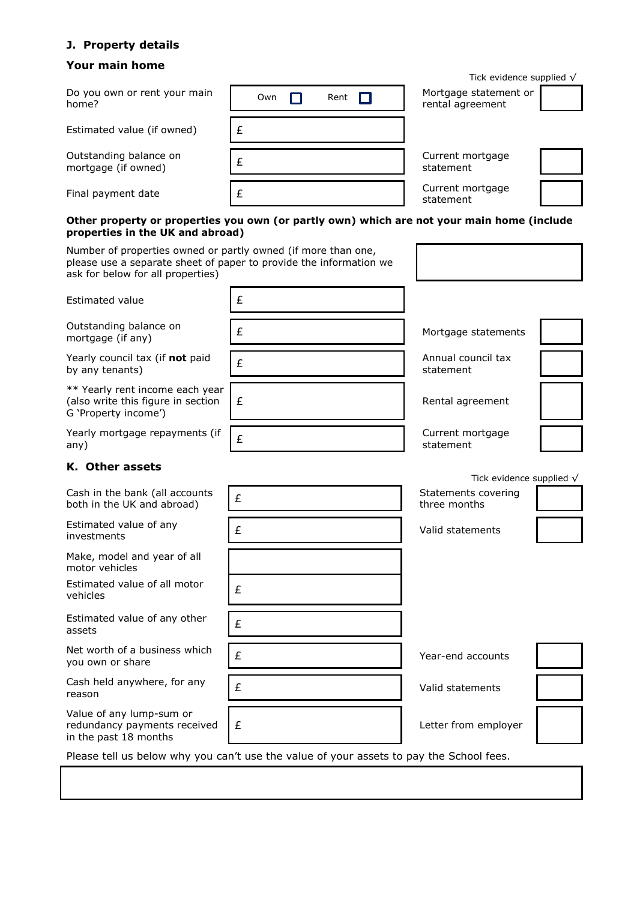## **J. Property details**

# **Your main home**

|                                                                                                    |                                                                                            | Tick evidence supplied $\sqrt{}$                                        |
|----------------------------------------------------------------------------------------------------|--------------------------------------------------------------------------------------------|-------------------------------------------------------------------------|
| Do you own or rent your main<br>home?                                                              | Own<br>Rent                                                                                | Mortgage statement or<br>rental agreement                               |
| Estimated value (if owned)                                                                         | £                                                                                          |                                                                         |
| Outstanding balance on<br>mortgage (if owned)                                                      | £                                                                                          | Current mortgage<br>statement                                           |
| Final payment date                                                                                 | £                                                                                          | Current mortgage<br>statement                                           |
| properties in the UK and abroad)                                                                   | Other property or properties you own (or partly own) which are not your main home (include |                                                                         |
| Number of properties owned or partly owned (if more than one,<br>ask for below for all properties) | please use a separate sheet of paper to provide the information we                         |                                                                         |
| <b>Estimated value</b>                                                                             | £                                                                                          |                                                                         |
| Outstanding balance on<br>mortgage (if any)                                                        | £                                                                                          | Mortgage statements                                                     |
| Yearly council tax (if not paid<br>by any tenants)                                                 | £                                                                                          | Annual council tax<br>statement                                         |
| ** Yearly rent income each year<br>(also write this figure in section<br>G 'Property income')      | £                                                                                          | Rental agreement                                                        |
| Yearly mortgage repayments (if<br>any)                                                             | £                                                                                          | Current mortgage<br>statement                                           |
| K. Other assets                                                                                    |                                                                                            |                                                                         |
| Cash in the bank (all accounts<br>both in the UK and abroad)                                       | £                                                                                          | Tick evidence supplied $\sqrt{}$<br>Statements covering<br>three months |
| Estimated value of any<br>investments                                                              | £                                                                                          | Valid statements                                                        |
| Make, model and year of all<br>motor vehicles                                                      |                                                                                            |                                                                         |
| Estimated value of all motor<br>vehicles                                                           | £                                                                                          |                                                                         |
| Estimated value of any other<br>assets                                                             | £                                                                                          |                                                                         |
| Net worth of a business which<br>you own or share                                                  | £                                                                                          | Year-end accounts                                                       |
| Cash held anywhere, for any<br>reason                                                              | £                                                                                          | Valid statements                                                        |
| Value of any lump-sum or<br>redundancy payments received<br>in the past 18 months                  | £                                                                                          | Letter from employer                                                    |
|                                                                                                    | Please tell us below why you can't use the value of your assets to pay the School fees.    |                                                                         |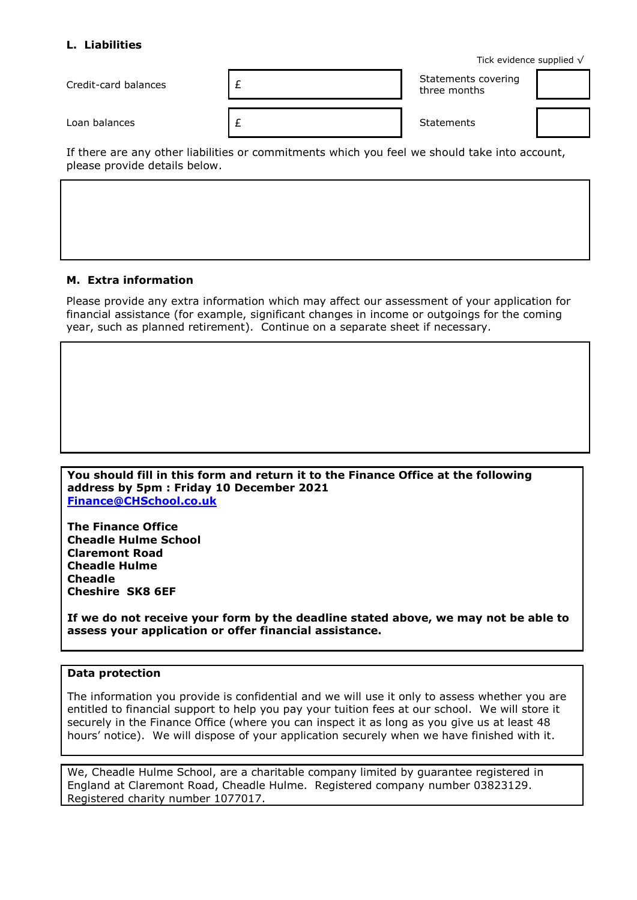#### **L. Liabilities**

Tick evidence supplied √

| Credit-card balances | Statements covering<br>three months |  |
|----------------------|-------------------------------------|--|
| Loan balances        | <b>Statements</b>                   |  |

If there are any other liabilities or commitments which you feel we should take into account, please provide details below.

#### **M. Extra information**

Please provide any extra information which may affect our assessment of your application for financial assistance (for example, significant changes in income or outgoings for the coming year, such as planned retirement). Continue on a separate sheet if necessary.

#### **You should fill in this form and return it to the Finance Office at the following address by 5pm : Friday 10 December 2021 [Finance@CHSchool.co.uk](mailto:Finance@CHSchool.co.uk)**

**The Finance Office Cheadle Hulme School Claremont Road Cheadle Hulme Cheadle Cheshire SK8 6EF**

**If we do not receive your form by the deadline stated above, we may not be able to assess your application or offer financial assistance.**

#### **Data protection**

The information you provide is confidential and we will use it only to assess whether you are entitled to financial support to help you pay your tuition fees at our school. We will store it securely in the Finance Office (where you can inspect it as long as you give us at least 48 hours' notice). We will dispose of your application securely when we have finished with it.

We, Cheadle Hulme School, are a charitable company limited by guarantee registered in England at Claremont Road, Cheadle Hulme. Registered company number 03823129. Registered charity number 1077017.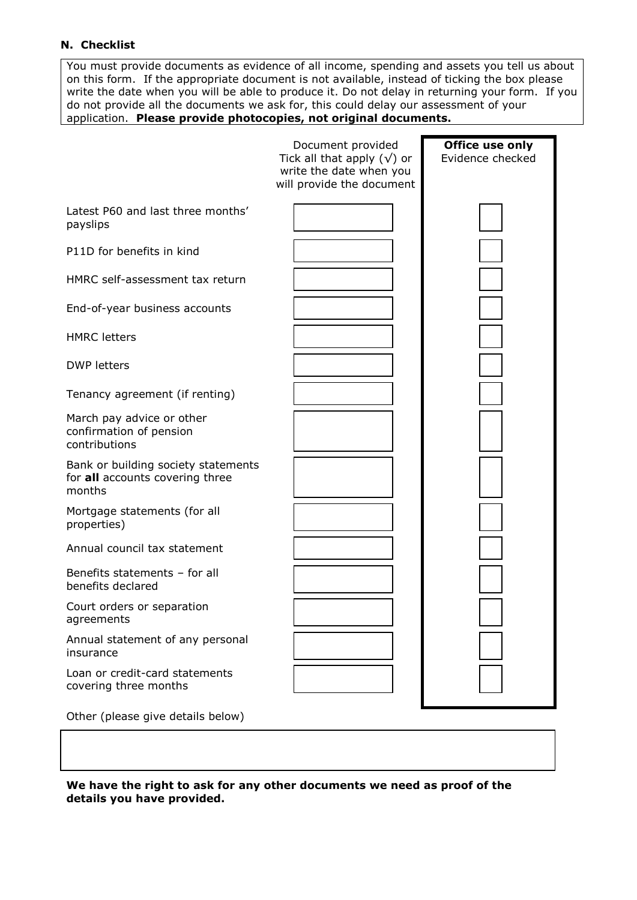#### **N. Checklist**

You must provide documents as evidence of all income, spending and assets you tell us about on this form. If the appropriate document is not available, instead of ticking the box please write the date when you will be able to produce it. Do not delay in returning your form. If you do not provide all the documents we ask for, this could delay our assessment of your application. **Please provide photocopies, not original documents.**

|                                                                                  | Document provided<br>Tick all that apply $(\sqrt{})$ or<br>write the date when you<br>will provide the document | Office use only<br>Evidence checked |
|----------------------------------------------------------------------------------|-----------------------------------------------------------------------------------------------------------------|-------------------------------------|
| Latest P60 and last three months'<br>payslips                                    |                                                                                                                 |                                     |
| P11D for benefits in kind                                                        |                                                                                                                 |                                     |
| HMRC self-assessment tax return                                                  |                                                                                                                 |                                     |
| End-of-year business accounts                                                    |                                                                                                                 |                                     |
| <b>HMRC</b> letters                                                              |                                                                                                                 |                                     |
| <b>DWP letters</b>                                                               |                                                                                                                 |                                     |
| Tenancy agreement (if renting)                                                   |                                                                                                                 |                                     |
| March pay advice or other<br>confirmation of pension<br>contributions            |                                                                                                                 |                                     |
| Bank or building society statements<br>for all accounts covering three<br>months |                                                                                                                 |                                     |
| Mortgage statements (for all<br>properties)                                      |                                                                                                                 |                                     |
| Annual council tax statement                                                     |                                                                                                                 |                                     |
| Benefits statements - for all<br>benefits declared                               |                                                                                                                 |                                     |
| Court orders or separation<br>agreements                                         |                                                                                                                 |                                     |
| Annual statement of any personal<br>insurance                                    |                                                                                                                 |                                     |
| Loan or credit-card statements<br>covering three months                          |                                                                                                                 |                                     |
| Other (please give details below)                                                |                                                                                                                 |                                     |

**We have the right to ask for any other documents we need as proof of the details you have provided.**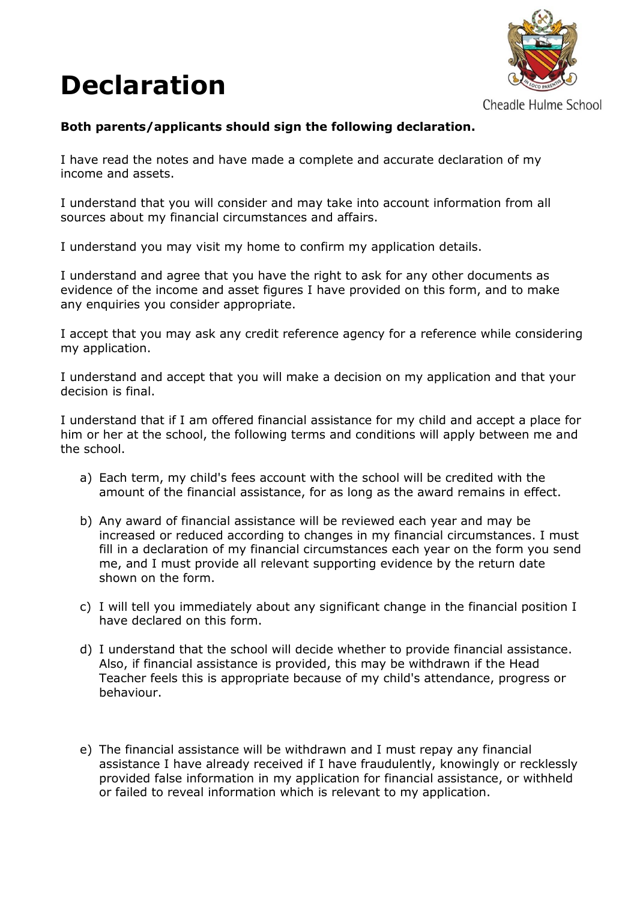# **Declaration**



Cheadle Hulme School

# **Both parents/applicants should sign the following declaration.**

I have read the notes and have made a complete and accurate declaration of my income and assets.

I understand that you will consider and may take into account information from all sources about my financial circumstances and affairs.

I understand you may visit my home to confirm my application details.

I understand and agree that you have the right to ask for any other documents as evidence of the income and asset figures I have provided on this form, and to make any enquiries you consider appropriate.

I accept that you may ask any credit reference agency for a reference while considering my application.

I understand and accept that you will make a decision on my application and that your decision is final.

I understand that if I am offered financial assistance for my child and accept a place for him or her at the school, the following terms and conditions will apply between me and the school.

- a) Each term, my child's fees account with the school will be credited with the amount of the financial assistance, for as long as the award remains in effect.
- b) Any award of financial assistance will be reviewed each year and may be increased or reduced according to changes in my financial circumstances. I must fill in a declaration of my financial circumstances each year on the form you send me, and I must provide all relevant supporting evidence by the return date shown on the form.
- c) I will tell you immediately about any significant change in the financial position I have declared on this form.
- d) I understand that the school will decide whether to provide financial assistance. Also, if financial assistance is provided, this may be withdrawn if the Head Teacher feels this is appropriate because of my child's attendance, progress or behaviour.
- e) The financial assistance will be withdrawn and I must repay any financial assistance I have already received if I have fraudulently, knowingly or recklessly provided false information in my application for financial assistance, or withheld or failed to reveal information which is relevant to my application.